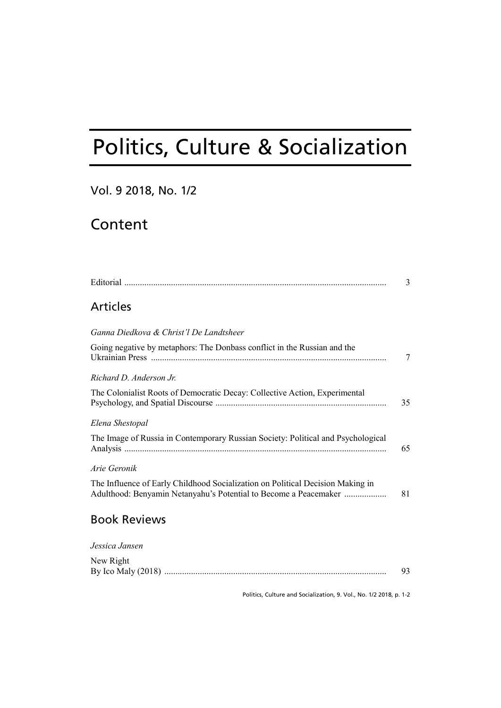# Politics, Culture & Socialization

# Vol. 9 2018, No. 1/2

# Content

|                                                                                                                                                    | 3  |
|----------------------------------------------------------------------------------------------------------------------------------------------------|----|
| <b>Articles</b>                                                                                                                                    |    |
| Ganna Diedkova & Christ'l De Landtsheer                                                                                                            |    |
| Going negative by metaphors: The Donbass conflict in the Russian and the                                                                           | 7  |
| Richard D. Anderson Jr.                                                                                                                            |    |
| The Colonialist Roots of Democratic Decay: Collective Action, Experimental                                                                         | 35 |
| Elena Shestopal                                                                                                                                    |    |
| The Image of Russia in Contemporary Russian Society: Political and Psychological                                                                   | 65 |
| Arie Geronik                                                                                                                                       |    |
| The Influence of Early Childhood Socialization on Political Decision Making in<br>Adulthood: Benyamin Netanyahu's Potential to Become a Peacemaker | 81 |
| <b>Book Reviews</b>                                                                                                                                |    |
| Jessica Jansen                                                                                                                                     |    |
| New Right                                                                                                                                          |    |

By Ico Maly (2018) .................................................................................................... 93

Politics, Culture and Socialization, 9. Vol., No. 1/2 2018, p. 1-2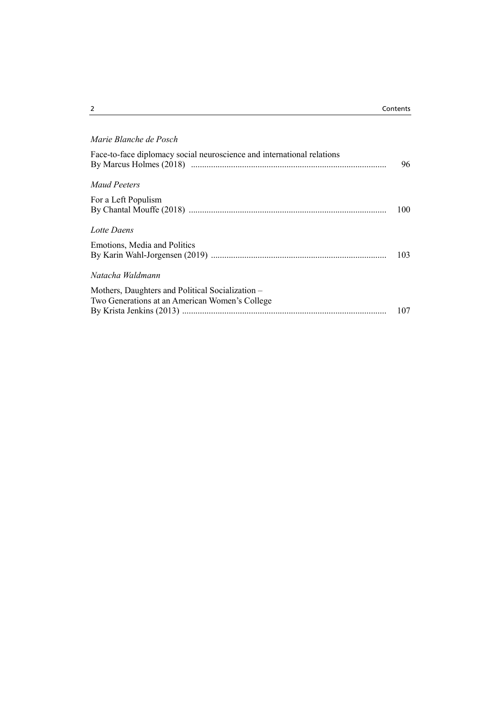| Marie Blanche de Posch                                                                             |     |
|----------------------------------------------------------------------------------------------------|-----|
| Face-to-face diplomacy social neuroscience and international relations                             | 96  |
| Maud Peeters                                                                                       |     |
| For a Left Populism                                                                                | 100 |
| Lotte Daens                                                                                        |     |
| Emotions, Media and Politics                                                                       | 103 |
| Natacha Waldmann                                                                                   |     |
| Mothers, Daughters and Political Socialization -<br>Two Generations at an American Women's College | 107 |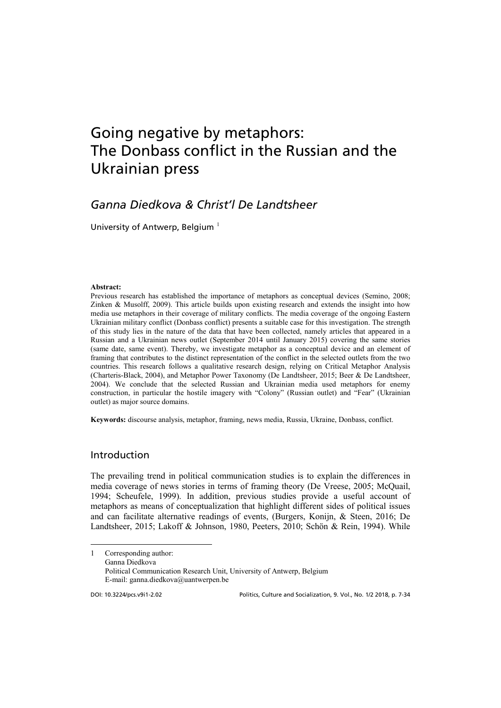# Going negative by metaphors: The Donbass conflict in the Russian and the Ukrainian press

# *Ganna Diedkova & Christ'l De Landtsheer*

University of Antwerp, Belgium  $1$ 

#### **Abstract:**

Previous research has established the importance of metaphors as conceptual devices (Semino, 2008; Zinken & Musolff, 2009). This article builds upon existing research and extends the insight into how media use metaphors in their coverage of military conflicts. The media coverage of the ongoing Eastern Ukrainian military conflict (Donbass conflict) presents a suitable case for this investigation. The strength of this study lies in the nature of the data that have been collected, namely articles that appeared in a Russian and a Ukrainian news outlet (September 2014 until January 2015) covering the same stories (same date, same event). Thereby, we investigate metaphor as a conceptual device and an element of framing that contributes to the distinct representation of the conflict in the selected outlets from the two countries. This research follows a qualitative research design, relying on Critical Metaphor Analysis (Charteris-Black, 2004), and Metaphor Power Taxonomy (De Landtsheer, 2015; Beer & De Landtsheer, 2004). We conclude that the selected Russian and Ukrainian media used metaphors for enemy construction, in particular the hostile imagery with "Colony" (Russian outlet) and "Fear" (Ukrainian outlet) as major source domains.

**Keywords:** discourse analysis, metaphor, framing, news media, Russia, Ukraine, Donbass, conflict.

### Introduction

The prevailing trend in political communication studies is to explain the differences in media coverage of news stories in terms of framing theory (De Vreese, 2005; McQuail, 1994; Scheufele, 1999). In addition, previous studies provide a useful account of metaphors as means of conceptualization that highlight different sides of political issues and can facilitate alternative readings of events, (Burgers, Konijn, & Steen, 2016; De Landtsheer, 2015; Lakoff & Johnson, 1980, Peeters, 2010; Schön & Rein, 1994). While

<span id="page-2-0"></span>1 Corresponding author: Ganna Diedkova Political Communication Research Unit, University of Antwerp, Belgium E-mail: ganna.diedkova@uantwerpen.be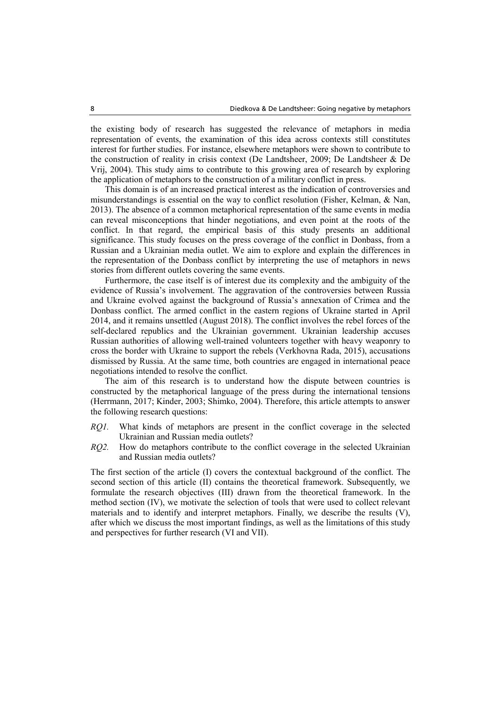the existing body of research has suggested the relevance of metaphors in media representation of events, the examination of this idea across contexts still constitutes interest for further studies. For instance, elsewhere metaphors were shown to contribute to the construction of reality in crisis context (De Landtsheer, 2009; De Landtsheer & De Vrij, 2004). This study aims to contribute to this growing area of research by exploring the application of metaphors to the construction of a military conflict in press.

This domain is of an increased practical interest as the indication of controversies and misunderstandings is essential on the way to conflict resolution (Fisher, Kelman, & Nan, 2013). The absence of a common metaphorical representation of the same events in media can reveal misconceptions that hinder negotiations, and even point at the roots of the conflict. In that regard, the empirical basis of this study presents an additional significance. This study focuses on the press coverage of the conflict in Donbass, from a Russian and a Ukrainian media outlet. We aim to explore and explain the differences in the representation of the Donbass conflict by interpreting the use of metaphors in news stories from different outlets covering the same events.

Furthermore, the case itself is of interest due its complexity and the ambiguity of the evidence of Russia's involvement. The aggravation of the controversies between Russia and Ukraine evolved against the background of Russia's annexation of Crimea and the Donbass conflict. The armed conflict in the eastern regions of Ukraine started in April 2014, and it remains unsettled (August 2018). The conflict involves the rebel forces of the self-declared republics and the Ukrainian government. Ukrainian leadership accuses Russian authorities of allowing well-trained volunteers together with heavy weaponry to cross the border with Ukraine to support the rebels (Verkhovna Rada, 2015), accusations dismissed by Russia. At the same time, both countries are engaged in international peace negotiations intended to resolve the conflict.

The aim of this research is to understand how the dispute between countries is constructed by the metaphorical language of the press during the international tensions (Herrmann, 2017; Kinder, 2003; Shimko, 2004). Therefore, this article attempts to answer the following research questions:

- *RQ1.* What kinds of metaphors are present in the conflict coverage in the selected Ukrainian and Russian media outlets?
- *RQ2.* How do metaphors contribute to the conflict coverage in the selected Ukrainian and Russian media outlets?

The first section of the article (I) covers the contextual background of the conflict. The second section of this article (II) contains the theoretical framework. Subsequently, we formulate the research objectives (III) drawn from the theoretical framework. In the method section (IV), we motivate the selection of tools that were used to collect relevant materials and to identify and interpret metaphors. Finally, we describe the results (V), after which we discuss the most important findings, as well as the limitations of this study and perspectives for further research (VI and VII).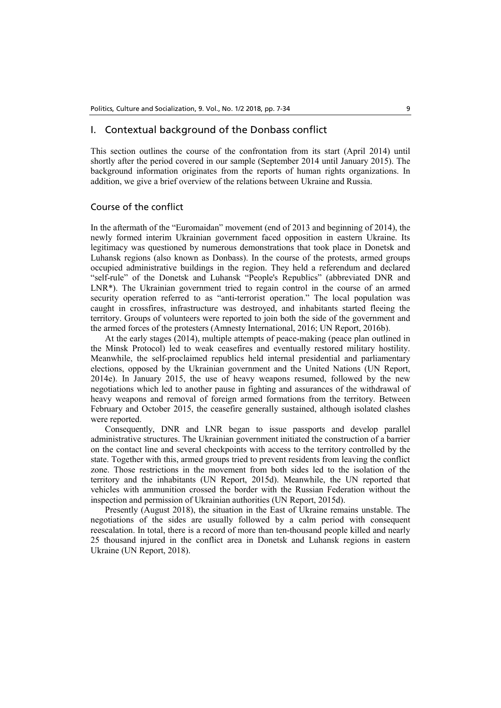### I. Contextual background of the Donbass conflict

This section outlines the course of the confrontation from its start (April 2014) until shortly after the period covered in our sample (September 2014 until January 2015). The background information originates from the reports of human rights organizations. In addition, we give a brief overview of the relations between Ukraine and Russia.

#### Course of the conflict

In the aftermath of the "Euromaidan" movement (end of 2013 and beginning of 2014), the newly formed interim Ukrainian government faced opposition in eastern Ukraine. Its legitimacy was questioned by numerous demonstrations that took place in Donetsk and Luhansk regions (also known as Donbass). In the course of the protests, armed groups occupied administrative buildings in the region. They held a referendum and declared "self-rule" of the Donetsk and Luhansk "People's Republics" (abbreviated DNR and LNR\*). The Ukrainian government tried to regain control in the course of an armed security operation referred to as "anti-terrorist operation." The local population was caught in crossfires, infrastructure was destroyed, and inhabitants started fleeing the territory. Groups of volunteers were reported to join both the side of the government and the armed forces of the protesters (Amnesty International, 2016; UN Report, 2016b).

At the early stages (2014), multiple attempts of peace-making (peace plan outlined in the Minsk Protocol) led to weak ceasefires and eventually restored military hostility. Meanwhile, the self-proclaimed republics held internal presidential and parliamentary elections, opposed by the Ukrainian government and the United Nations (UN Report, 2014e). In January 2015, the use of heavy weapons resumed, followed by the new negotiations which led to another pause in fighting and assurances of the withdrawal of heavy weapons and removal of foreign armed formations from the territory. Between February and October 2015, the ceasefire generally sustained, although isolated clashes were reported.

Consequently, DNR and LNR began to issue passports and develop parallel administrative structures. The Ukrainian government initiated the construction of a barrier on the contact line and several checkpoints with access to the territory controlled by the state. Together with this, armed groups tried to prevent residents from leaving the conflict zone. Those restrictions in the movement from both sides led to the isolation of the territory and the inhabitants (UN Report, 2015d). Meanwhile, the UN reported that vehicles with ammunition crossed the border with the Russian Federation without the inspection and permission of Ukrainian authorities (UN Report, 2015d).

Presently (August 2018), the situation in the East of Ukraine remains unstable. The negotiations of the sides are usually followed by a calm period with consequent reescalation. In total, there is a record of more than ten-thousand people killed and nearly 25 thousand injured in the conflict area in Donetsk and Luhansk regions in eastern Ukraine (UN Report, 2018).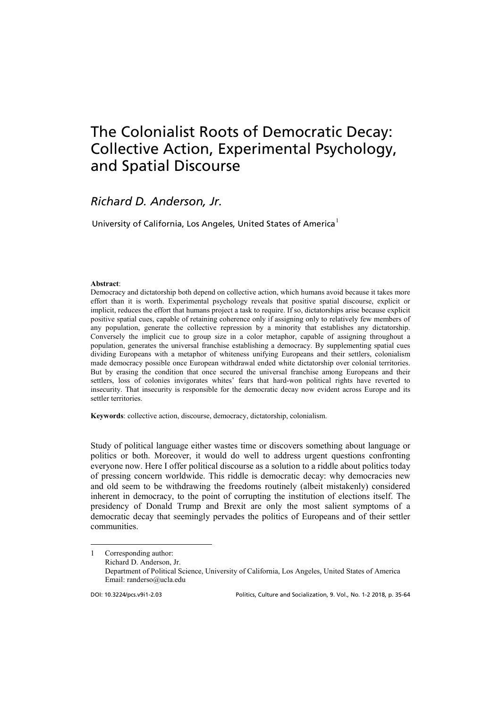# The Colonialist Roots of Democratic Decay: Collective Action, Experimental Psychology, and Spatial Discourse

### *Richard D. Anderson, Jr.*

University of California, Los Angeles, United States of America<sup>[1](#page-5-0)</sup>

#### **Abstract**:

Democracy and dictatorship both depend on collective action, which humans avoid because it takes more effort than it is worth. Experimental psychology reveals that positive spatial discourse, explicit or implicit, reduces the effort that humans project a task to require. If so, dictatorships arise because explicit positive spatial cues, capable of retaining coherence only if assigning only to relatively few members of any population, generate the collective repression by a minority that establishes any dictatorship. Conversely the implicit cue to group size in a color metaphor, capable of assigning throughout a population, generates the universal franchise establishing a democracy. By supplementing spatial cues dividing Europeans with a metaphor of whiteness unifying Europeans and their settlers, colonialism made democracy possible once European withdrawal ended white dictatorship over colonial territories. But by erasing the condition that once secured the universal franchise among Europeans and their settlers, loss of colonies invigorates whites' fears that hard-won political rights have reverted to insecurity. That insecurity is responsible for the democratic decay now evident across Europe and its settler territories.

**Keywords**: collective action, discourse, democracy, dictatorship, colonialism.

Study of political language either wastes time or discovers something about language or politics or both. Moreover, it would do well to address urgent questions confronting everyone now. Here I offer political discourse as a solution to a riddle about politics today of pressing concern worldwide. This riddle is democratic decay: why democracies new and old seem to be withdrawing the freedoms routinely (albeit mistakenly) considered inherent in democracy, to the point of corrupting the institution of elections itself. The presidency of Donald Trump and Brexit are only the most salient symptoms of a democratic decay that seemingly pervades the politics of Europeans and of their settler communities.

<span id="page-5-0"></span><sup>1</sup> Corresponding author: Richard D. Anderson, Jr. Department of Political Science, University of California, Los Angeles, United States of America Email: randerso@ucla.edu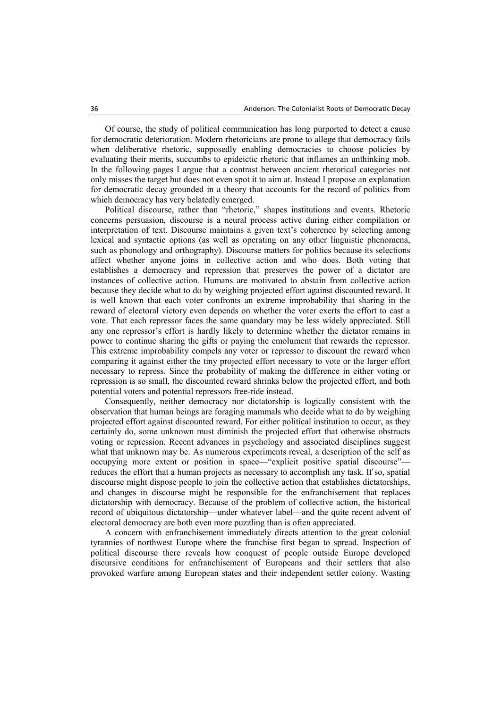Of course, the study of political communication has long purported to detect a cause for democratic deterioration. Modern rhetoricians are prone to allege that democracy fails when deliberative rhetoric, supposedly enabling democracies to choose policies by evaluating their merits, succumbs to epideictic rhetoric that inflames an unthinking mob. In the following pages I argue that a contrast between ancient rhetorical categories not only misses the target but does not even spot it to aim at. Instead I propose an explanation for democratic decay grounded in a theory that accounts for the record of politics from which democracy has very belatedly emerged.

Political discourse, rather than "rhetoric," shapes institutions and events. Rhetoric concerns persuasion, discourse is a neural process active during either compilation or interpretation of text. Discourse maintains a given text's coherence by selecting among lexical and syntactic options (as well as operating on any other linguistic phenomena, such as phonology and orthography). Discourse matters for politics because its selections affect whether anyone joins in collective action and who does. Both voting that establishes a democracy and repression that preserves the power of a dictator are instances of collective action. Humans are motivated to abstain from collective action because they decide what to do by weighing projected effort against discounted reward. It is well known that each voter confronts an extreme improbability that sharing in the reward of electoral victory even depends on whether the voter exerts the effort to cast a vote. That each repressor faces the same quandary may be less widely appreciated. Still any one repressor's effort is hardly likely to determine whether the dictator remains in power to continue sharing the gifts or paying the emolument that rewards the repressor. This extreme improbability compels any voter or repressor to discount the reward when comparing it against either the tiny projected effort necessary to vote or the larger effort necessary to repress. Since the probability of making the difference in either voting or repression is so small, the discounted reward shrinks below the projected effort, and both potential voters and potential repressors free-ride instead.

Consequently, neither democracy nor dictatorship is logically consistent with the observation that human beings are foraging mammals who decide what to do by weighing projected effort against discounted reward. For either political institution to occur, as they certainly do, some unknown must diminish the projected effort that otherwise obstructs voting or repression. Recent advances in psychology and associated disciplines suggest what that unknown may be. As numerous experiments reveal, a description of the self as occupying more extent or position in space—"explicit positive spatial discourse" reduces the effort that a human projects as necessary to accomplish any task. If so, spatial discourse might dispose people to join the collective action that establishes dictatorships, and changes in discourse might be responsible for the enfranchisement that replaces dictatorship with democracy. Because of the problem of collective action, the historical record of ubiquitous dictatorship—under whatever label—and the quite recent advent of electoral democracy are both even more puzzling than is often appreciated.

A concern with enfranchisement immediately directs attention to the great colonial tyrannies of northwest Europe where the franchise first began to spread. Inspection of political discourse there reveals how conquest of people outside Europe developed discursive conditions for enfranchisement of Europeans and their settlers that also provoked warfare among European states and their independent settler colony. Wasting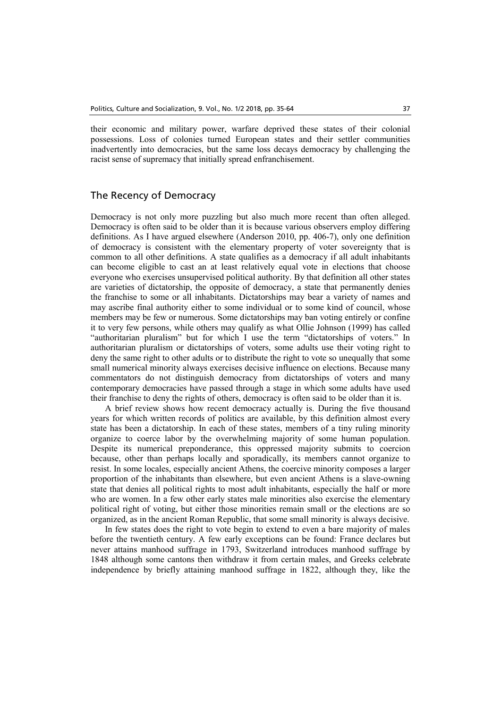their economic and military power, warfare deprived these states of their colonial possessions. Loss of colonies turned European states and their settler communities inadvertently into democracies, but the same loss decays democracy by challenging the racist sense of supremacy that initially spread enfranchisement.

### The Recency of Democracy

Democracy is not only more puzzling but also much more recent than often alleged. Democracy is often said to be older than it is because various observers employ differing definitions. As I have argued elsewhere (Anderson 2010, pp. 406-7), only one definition of democracy is consistent with the elementary property of voter sovereignty that is common to all other definitions. A state qualifies as a democracy if all adult inhabitants can become eligible to cast an at least relatively equal vote in elections that choose everyone who exercises unsupervised political authority. By that definition all other states are varieties of dictatorship, the opposite of democracy, a state that permanently denies the franchise to some or all inhabitants. Dictatorships may bear a variety of names and may ascribe final authority either to some individual or to some kind of council, whose members may be few or numerous. Some dictatorships may ban voting entirely or confine it to very few persons, while others may qualify as what Ollie Johnson (1999) has called "authoritarian pluralism" but for which I use the term "dictatorships of voters." In authoritarian pluralism or dictatorships of voters, some adults use their voting right to deny the same right to other adults or to distribute the right to vote so unequally that some small numerical minority always exercises decisive influence on elections. Because many commentators do not distinguish democracy from dictatorships of voters and many contemporary democracies have passed through a stage in which some adults have used their franchise to deny the rights of others, democracy is often said to be older than it is.

A brief review shows how recent democracy actually is. During the five thousand years for which written records of politics are available, by this definition almost every state has been a dictatorship. In each of these states, members of a tiny ruling minority organize to coerce labor by the overwhelming majority of some human population. Despite its numerical preponderance, this oppressed majority submits to coercion because, other than perhaps locally and sporadically, its members cannot organize to resist. In some locales, especially ancient Athens, the coercive minority composes a larger proportion of the inhabitants than elsewhere, but even ancient Athens is a slave-owning state that denies all political rights to most adult inhabitants, especially the half or more who are women. In a few other early states male minorities also exercise the elementary political right of voting, but either those minorities remain small or the elections are so organized, as in the ancient Roman Republic, that some small minority is always decisive.

In few states does the right to vote begin to extend to even a bare majority of males before the twentieth century. A few early exceptions can be found: France declares but never attains manhood suffrage in 1793, Switzerland introduces manhood suffrage by 1848 although some cantons then withdraw it from certain males, and Greeks celebrate independence by briefly attaining manhood suffrage in 1822, although they, like the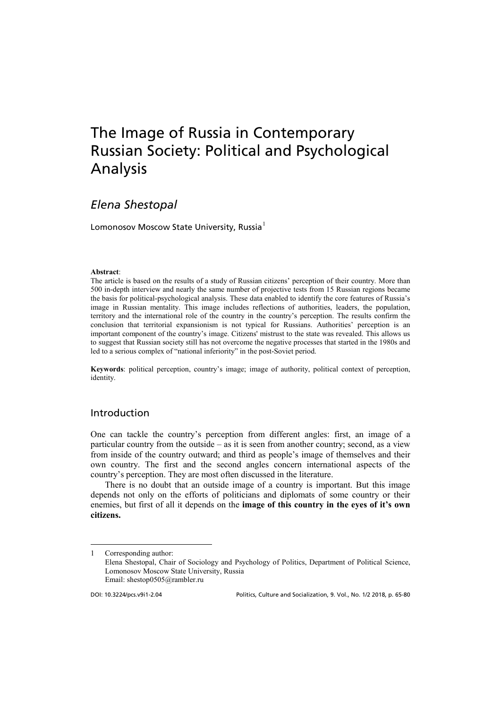# The Image of Russia in Contemporary Russian Society: Political and Psychological Analysis

# *Elena Shestopal*

Lomonosov Moscow State University, Russia<sup>[1](#page-8-0)</sup>

#### **Abstract**:

The article is based on the results of a study of Russian citizens' perception of their country. More than 500 in-depth interview and nearly the same number of projective tests from 15 Russian regions became the basis for political-psychological analysis. These data enabled to identify the core features of Russia's image in Russian mentality. This image includes reflections of authorities, leaders, the population, territory and the international role of the country in the country's perception. The results confirm the conclusion that territorial expansionism is not typical for Russians. Authorities' perception is an important component of the country's image. Citizens' mistrust to the state was revealed. This allows us to suggest that Russian society still has not overcome the negative processes that started in the 1980s and led to a serious complex of "national inferiority" in the post-Soviet period.

**Keywords**: political perception, country's image; image of authority, political context of perception, identity.

### Introduction

One can tackle the country's perception from different angles: first, an image of a particular country from the outside – as it is seen from another country; second, as a view from inside of the country outward; and third as people's image of themselves and their own country. The first and the second angles concern international aspects of the country's perception. They are most often discussed in the literature.

There is no doubt that an outside image of a country is important. But this image depends not only on the efforts of politicians and diplomats of some country or their enemies, but first of all it depends on the **image of this country in the eyes of it's own citizens.**

<span id="page-8-0"></span><sup>1</sup> Corresponding author: Elena Shestopal, Chair of Sociology and Psychology of Politics, Department of Political Science, Lomonosov Moscow State University, Russia Email: shestop0505@rambler.ru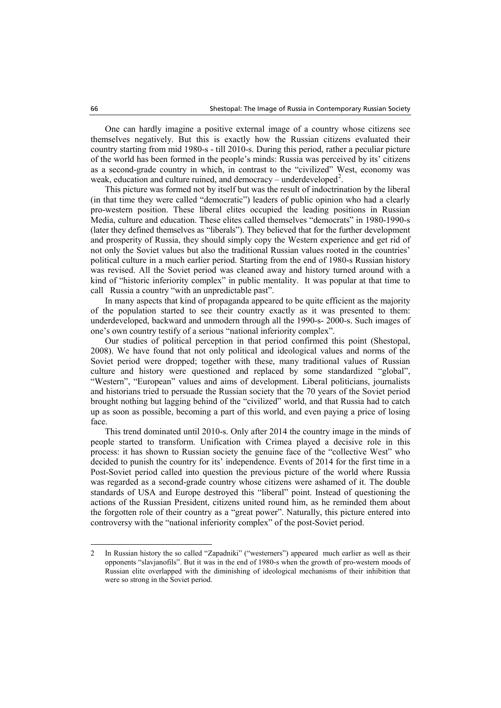One can hardly imagine a positive external image of a country whose citizens see themselves negatively. But this is exactly how the Russian citizens evaluated their country starting from mid 1980-s - till 2010-s. During this period, rather a peculiar picture of the world has been formed in the people's minds: Russia was perceived by its' citizens as a second-grade country in which, in contrast to the "civilized" West, economy was weak, education and culture ruined, and democracy – underdeveloped<sup>[2](#page-9-0)</sup>.

This picture was formed not by itself but was the result of indoctrination by the liberal (in that time they were called "democratic") leaders of public opinion who had a clearly pro-western position. These liberal elites occupied the leading positions in Russian Media, culture and education. These elites called themselves "democrats" in 1980-1990-s (later they defined themselves as "liberals"). They believed that for the further development and prosperity of Russia, they should simply copy the Western experience and get rid of not only the Soviet values but also the traditional Russian values rooted in the countries' political culture in a much earlier period. Starting from the end of 1980-s Russian history was revised. All the Soviet period was cleaned away and history turned around with a kind of "historic inferiority complex" in public mentality. It was popular at that time to call Russia a country "with an unpredictable past".

In many aspects that kind of propaganda appeared to be quite efficient as the majority of the population started to see their country exactly as it was presented to them: underdeveloped, backward and unmodern through all the 1990-s- 2000-s. Such images of one's own country testify of a serious "national inferiority complex".

Our studies of political perception in that period confirmed this point (Shestopal, 2008). We have found that not only political and ideological values and norms of the Soviet period were dropped; together with these, many traditional values of Russian culture and history were questioned and replaced by some standardized "global", "Western", "European" values and aims of development. Liberal politicians, journalists and historians tried to persuade the Russian society that the 70 years of the Soviet period brought nothing but lagging behind of the "civilized" world, and that Russia had to catch up as soon as possible, becoming a part of this world, and even paying a price of losing face.

This trend dominated until 2010-s. Only after 2014 the country image in the minds of people started to transform. Unification with Crimea played a decisive role in this process: it has shown to Russian society the genuine face of the "collective West" who decided to punish the country for its' independence. Events of 2014 for the first time in a Post-Soviet period called into question the previous picture of the world where Russia was regarded as a second-grade country whose citizens were ashamed of it. The double standards of USA and Europe destroyed this "liberal" point. Instead of questioning the actions of the Russian President, citizens united round him, as he reminded them about the forgotten role of their country as a "great power". Naturally, this picture entered into controversy with the "national inferiority complex" of the post-Soviet period.

<span id="page-9-0"></span><sup>2</sup> In Russian history the so called "Zapadniki" ("westerners") appeared much earlier as well as their opponents "slavjanofils". But it was in the end of 1980-s when the growth of pro-western moods of Russian elite overlapped with the diminishing of ideological mechanisms of their inhibition that were so strong in the Soviet period.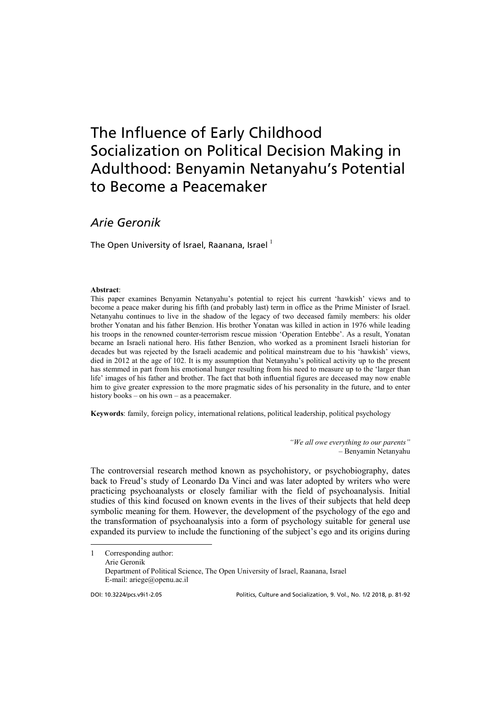# The Influence of Early Childhood Socialization on Political Decision Making in Adulthood: Benyamin Netanyahu's Potential to Become a Peacemaker

# *Arie Geronik*

The Open University of Israel, Raanana, Israel  $^1$  $^1$ 

#### **Abstract**:

This paper examines Benyamin Netanyahu's potential to reject his current 'hawkish' views and to become a peace maker during his fifth (and probably last) term in office as the Prime Minister of Israel. Netanyahu continues to live in the shadow of the legacy of two deceased family members: his older brother Yonatan and his father Benzion. His brother Yonatan was killed in action in 1976 while leading his troops in the renowned counter-terrorism rescue mission 'Operation Entebbe'. As a result, Yonatan became an Israeli national hero. His father Benzion, who worked as a prominent Israeli historian for decades but was rejected by the Israeli academic and political mainstream due to his 'hawkish' views, died in 2012 at the age of 102. It is my assumption that Netanyahu's political activity up to the present has stemmed in part from his emotional hunger resulting from his need to measure up to the 'larger than life' images of his father and brother. The fact that both influential figures are deceased may now enable him to give greater expression to the more pragmatic sides of his personality in the future, and to enter history books – on his own – as a peacemaker.

**Keywords**: family, foreign policy, international relations, political leadership, political psychology

*"We all owe everything to our parents"*  – Benyamin Netanyahu

The controversial research method known as psychohistory, or psychobiography, dates back to Freud's study of Leonardo Da Vinci and was later adopted by writers who were practicing psychoanalysts or closely familiar with the field of psychoanalysis. Initial studies of this kind focused on known events in the lives of their subjects that held deep symbolic meaning for them. However, the development of the psychology of the ego and the transformation of psychoanalysis into a form of psychology suitable for general use expanded its purview to include the functioning of the subject's ego and its origins during

<span id="page-10-0"></span>1 Corresponding author: Arie Geronik Department of Political Science, The Open University of Israel, Raanana, Israel E-mail: ariege@openu.ac.il